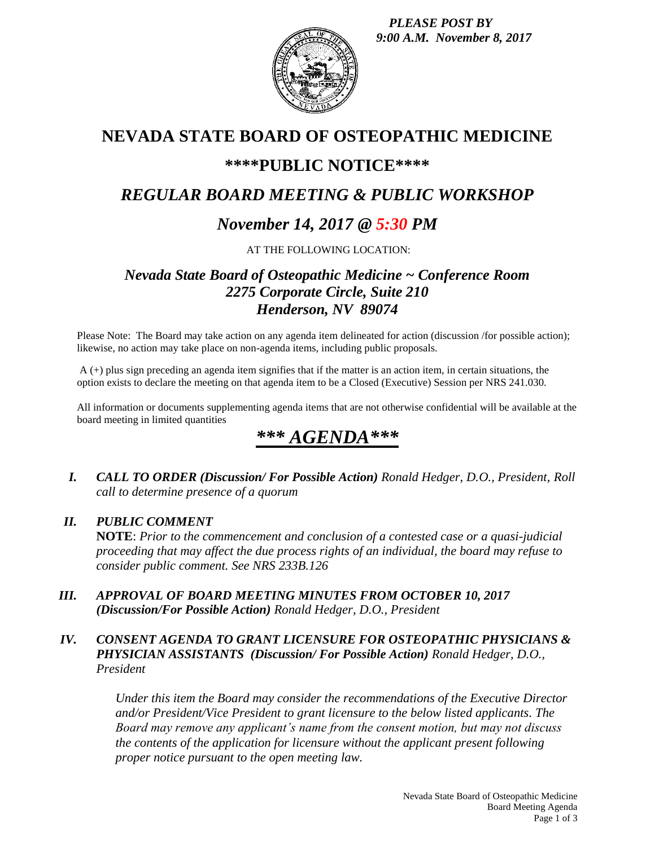*PLEASE POST BY 9:00 A.M. November 8, 2017*



## **NEVADA STATE BOARD OF OSTEOPATHIC MEDICINE**

### **\*\*\*\*PUBLIC NOTICE\*\*\*\***

### *REGULAR BOARD MEETING & PUBLIC WORKSHOP*

### *November 14, 2017 @ 5:30 PM*

AT THE FOLLOWING LOCATION:

### *Nevada State Board of Osteopathic Medicine ~ Conference Room 2275 Corporate Circle, Suite 210 Henderson, NV 89074*

Please Note: The Board may take action on any agenda item delineated for action (discussion /for possible action); likewise, no action may take place on non-agenda items, including public proposals.

A (+) plus sign preceding an agenda item signifies that if the matter is an action item, in certain situations, the option exists to declare the meeting on that agenda item to be a Closed (Executive) Session per NRS 241.030.

All information or documents supplementing agenda items that are not otherwise confidential will be available at the board meeting in limited quantities

# *\*\*\* AGENDA\*\*\**

*I. CALL TO ORDER (Discussion/ For Possible Action) Ronald Hedger, D.O., President, Roll call to determine presence of a quorum*

#### *II. PUBLIC COMMENT*

**NOTE**: *Prior to the commencement and conclusion of a contested case or a quasi-judicial proceeding that may affect the due process rights of an individual, the board may refuse to consider public comment. See NRS 233B.126*

*III. APPROVAL OF BOARD MEETING MINUTES FROM OCTOBER 10, 2017 (Discussion/For Possible Action) Ronald Hedger, D.O., President*

#### *IV. CONSENT AGENDA TO GRANT LICENSURE FOR OSTEOPATHIC PHYSICIANS & PHYSICIAN ASSISTANTS (Discussion/ For Possible Action) Ronald Hedger, D.O., President*

*Under this item the Board may consider the recommendations of the Executive Director and/or President/Vice President to grant licensure to the below listed applicants. The Board may remove any applicant's name from the consent motion, but may not discuss the contents of the application for licensure without the applicant present following proper notice pursuant to the open meeting law.*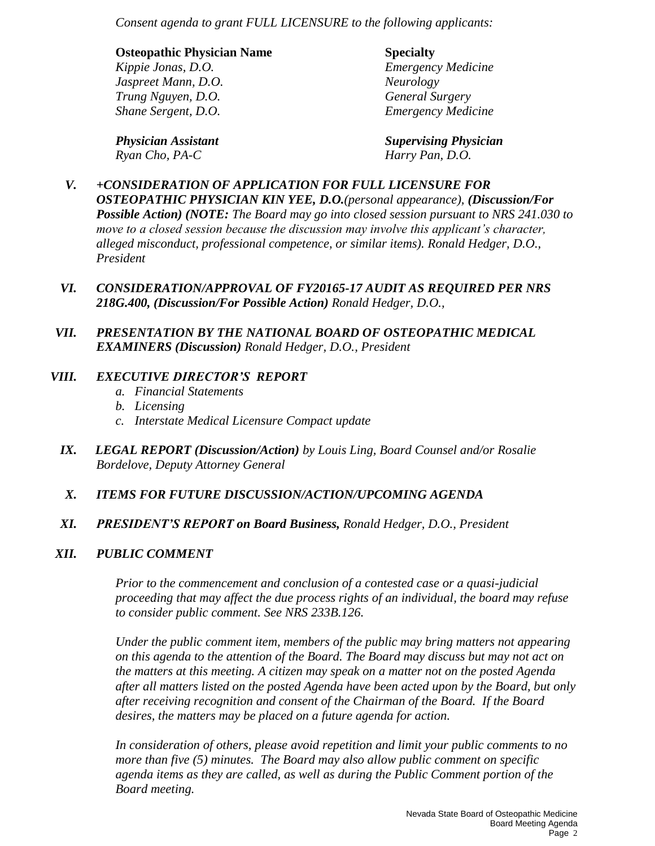*Consent agenda to grant FULL LICENSURE to the following applicants:*

| <b>Osteopathic Physician Name</b> | <b>Specialty</b>          |
|-----------------------------------|---------------------------|
| Kippie Jonas, D.O.                | <b>Emergency Medicine</b> |
| Jaspreet Mann, D.O.               | Neurology                 |
| Trung Nguyen, D.O.                | <b>General Surgery</b>    |
| Shane Sergent, D.O.               | <b>Emergency Medicine</b> |
|                                   |                           |

*Physician Assistant Supervising Physician Ryan Cho, PA-C Harry Pan, D.O.*

- *V. +CONSIDERATION OF APPLICATION FOR FULL LICENSURE FOR OSTEOPATHIC PHYSICIAN KIN YEE, D.O.(personal appearance), (Discussion/For Possible Action) (NOTE: The Board may go into closed session pursuant to NRS 241.030 to move to a closed session because the discussion may involve this applicant's character, alleged misconduct, professional competence, or similar items). Ronald Hedger, D.O., President*
- *VI. CONSIDERATION/APPROVAL OF FY20165-17 AUDIT AS REQUIRED PER NRS 218G.400, (Discussion/For Possible Action) Ronald Hedger, D.O.,*
- *VII. PRESENTATION BY THE NATIONAL BOARD OF OSTEOPATHIC MEDICAL EXAMINERS (Discussion) Ronald Hedger, D.O., President*

#### *VIII. EXECUTIVE DIRECTOR'S REPORT*

- *a. Financial Statements*
- *b. Licensing*
- *c. Interstate Medical Licensure Compact update*
- *IX. LEGAL REPORT (Discussion/Action) by Louis Ling, Board Counsel and/or Rosalie Bordelove, Deputy Attorney General*
- *X. ITEMS FOR FUTURE DISCUSSION/ACTION/UPCOMING AGENDA*
- *XI. PRESIDENT'S REPORT on Board Business, Ronald Hedger, D.O., President*

#### *XII. PUBLIC COMMENT*

*Prior to the commencement and conclusion of a contested case or a quasi-judicial proceeding that may affect the due process rights of an individual, the board may refuse to consider public comment. See NRS 233B.126.*

*Under the public comment item, members of the public may bring matters not appearing on this agenda to the attention of the Board. The Board may discuss but may not act on the matters at this meeting. A citizen may speak on a matter not on the posted Agenda after all matters listed on the posted Agenda have been acted upon by the Board, but only after receiving recognition and consent of the Chairman of the Board. If the Board desires, the matters may be placed on a future agenda for action.*

*In consideration of others, please avoid repetition and limit your public comments to no more than five (5) minutes. The Board may also allow public comment on specific agenda items as they are called, as well as during the Public Comment portion of the Board meeting.*